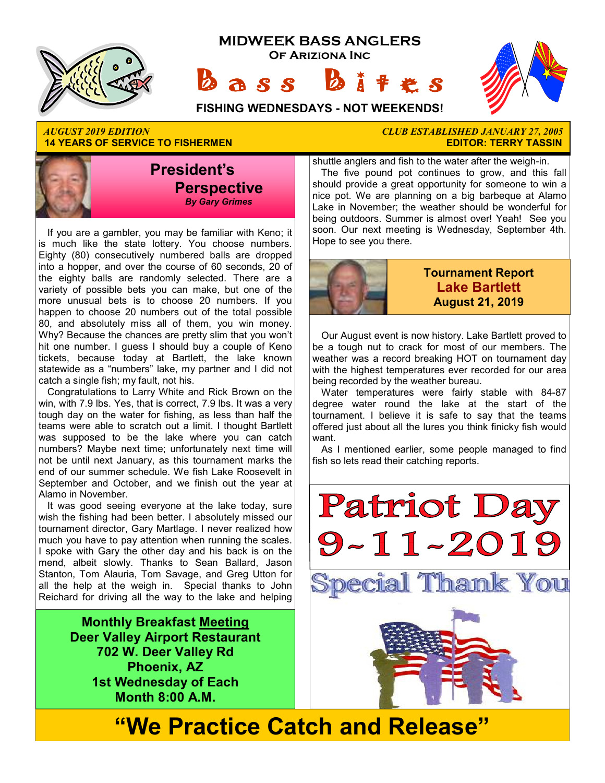

*AUGUST 2019 EDITION CLUB ESTABLISHED JANUARY 27, 2005*  **14 YEARS OF SERVICE TO FISHERMEN** 



If you are a gambler, you may be familiar with Keno; it is much like the state lottery. You choose numbers. Eighty (80) consecutively numbered balls are dropped into a hopper, and over the course of 60 seconds, 20 of the eighty balls are randomly selected. There are a variety of possible bets you can make, but one of the more unusual bets is to choose 20 numbers. If you happen to choose 20 numbers out of the total possible 80, and absolutely miss all of them, you win money. Why? Because the chances are pretty slim that you won't hit one number. I guess I should buy a couple of Keno tickets, because today at Bartlett, the lake known statewide as a "numbers" lake, my partner and I did not catch a single fish; my fault, not his.

Congratulations to Larry White and Rick Brown on the win, with 7.9 lbs. Yes, that is correct, 7.9 lbs. It was a very tough day on the water for fishing, as less than half the teams were able to scratch out a limit. I thought Bartlett was supposed to be the lake where you can catch numbers? Maybe next time; unfortunately next time will not be until next January, as this tournament marks the end of our summer schedule. We fish Lake Roosevelt in September and October, and we finish out the year at Alamo in November.

It was good seeing everyone at the lake today, sure wish the fishing had been better. I absolutely missed our tournament director, Gary Martlage. I never realized how much you have to pay attention when running the scales. I spoke with Gary the other day and his back is on the mend, albeit slowly. Thanks to Sean Ballard, Jason Stanton, Tom Alauria, Tom Savage, and Greg Utton for all the help at the weigh in. Special thanks to John Reichard for driving all the way to the lake and helping

> **Monthly Breakfast Meeting Deer Valley Airport Restaurant 702 W. Deer Valley Rd Phoenix, AZ 1st Wednesday of Each Month 8:00 A.M.**

shuttle anglers and fish to the water after the weigh-in. The five pound pot continues to grow, and this fall should provide a great opportunity for someone to win a nice pot. We are planning on a big barbeque at Alamo Lake in November; the weather should be wonderful for being outdoors. Summer is almost over! Yeah! See you

soon. Our next meeting is Wednesday, September 4th.



Hope to see you there.

### **Tournament Report Lake Bartlett August 21, 2019**

Our August event is now history. Lake Bartlett proved to be a tough nut to crack for most of our members. The weather was a record breaking HOT on tournament day with the highest temperatures ever recorded for our area being recorded by the weather bureau.

Water temperatures were fairly stable with 84-87 degree water round the lake at the start of the tournament. I believe it is safe to say that the teams offered just about all the lures you think finicky fish would want.

As I mentioned earlier, some people managed to find fish so lets read their catching reports.

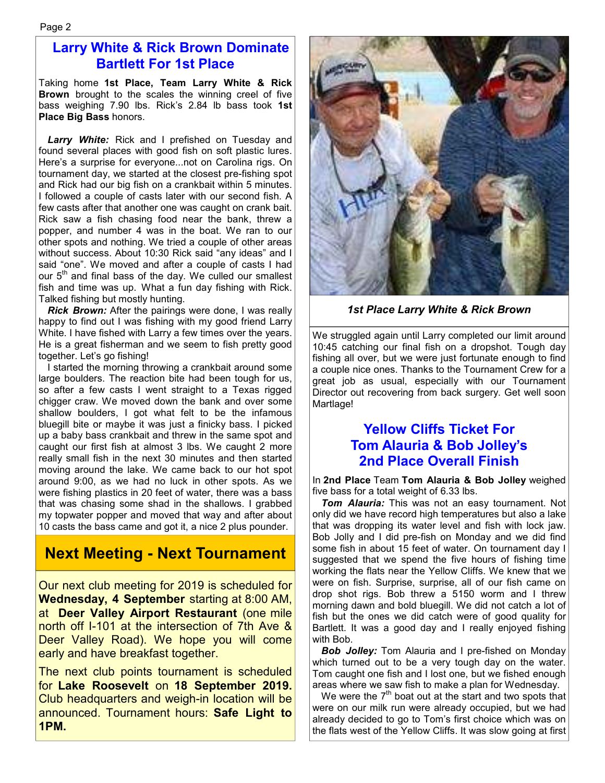### **Larry White & Rick Brown Dominate Bartlett For 1st Place**

Taking home **1st Place, Team Larry White & Rick Brown** brought to the scales the winning creel of five bass weighing 7.90 lbs. Rick's 2.84 lb bass took **1st Place Big Bass** honors.

Larry White: Rick and I prefished on Tuesday and found several places with good fish on soft plastic lures. Here's a surprise for everyone...not on Carolina rigs. On tournament day, we started at the closest pre-fishing spot and Rick had our big fish on a crankbait within 5 minutes. I followed a couple of casts later with our second fish. A few casts after that another one was caught on crank bait. Rick saw a fish chasing food near the bank, threw a popper, and number 4 was in the boat. We ran to our other spots and nothing. We tried a couple of other areas without success. About 10:30 Rick said "any ideas" and I said "one". We moved and after a couple of casts I had our  $5<sup>th</sup>$  and final bass of the day. We culled our smallest fish and time was up. What a fun day fishing with Rick. Talked fishing but mostly hunting.

*Rick Brown:* After the pairings were done, I was really happy to find out I was fishing with my good friend Larry White. I have fished with Larry a few times over the years. He is a great fisherman and we seem to fish pretty good together. Let's go fishing!

I started the morning throwing a crankbait around some large boulders. The reaction bite had been tough for us, so after a few casts I went straight to a Texas rigged chigger craw. We moved down the bank and over some shallow boulders, I got what felt to be the infamous bluegill bite or maybe it was just a finicky bass. I picked up a baby bass crankbait and threw in the same spot and caught our first fish at almost 3 lbs. We caught 2 more really small fish in the next 30 minutes and then started moving around the lake. We came back to our hot spot around 9:00, as we had no luck in other spots. As we were fishing plastics in 20 feet of water, there was a bass that was chasing some shad in the shallows. I grabbed my topwater popper and moved that way and after about 10 casts the bass came and got it, a nice 2 plus pounder.

## **Next Meeting - Next Tournament**

Our next club meeting for 2019 is scheduled for **Wednesday, 4 September** starting at 8:00 AM, at **Deer Valley Airport Restaurant** (one mile north off I-101 at the intersection of 7th Ave & Deer Valley Road). We hope you will come early and have breakfast together.

The next club points tournament is scheduled for **Lake Roosevelt** on **18 September 2019.**  Club headquarters and weigh-in location will be announced. Tournament hours: **Safe Light to 1PM.**



*1st Place Larry White & Rick Brown* 

We struggled again until Larry completed our limit around 10:45 catching our final fish on a dropshot. Tough day fishing all over, but we were just fortunate enough to find a couple nice ones. Thanks to the Tournament Crew for a great job as usual, especially with our Tournament Director out recovering from back surgery. Get well soon Martlage!

### **Yellow Cliffs Ticket For Tom Alauria & Bob Jolley's 2nd Place Overall Finish**

In **2nd Place** Team **Tom Alauria & Bob Jolley** weighed five bass for a total weight of 6.33 lbs.

*Tom Alauria:* This was not an easy tournament. Not only did we have record high temperatures but also a lake that was dropping its water level and fish with lock jaw. Bob Jolly and I did pre-fish on Monday and we did find some fish in about 15 feet of water. On tournament day I suggested that we spend the five hours of fishing time working the flats near the Yellow Cliffs. We knew that we were on fish. Surprise, surprise, all of our fish came on drop shot rigs. Bob threw a 5150 worm and I threw morning dawn and bold bluegill. We did not catch a lot of fish but the ones we did catch were of good quality for Bartlett. It was a good day and I really enjoyed fishing with Bob.

*Bob Jolley:* Tom Alauria and I pre-fished on Monday which turned out to be a very tough day on the water. Tom caught one fish and I lost one, but we fished enough areas where we saw fish to make a plan for Wednesday.

We were the  $7<sup>th</sup>$  boat out at the start and two spots that were on our milk run were already occupied, but we had already decided to go to Tom's first choice which was on the flats west of the Yellow Cliffs. It was slow going at first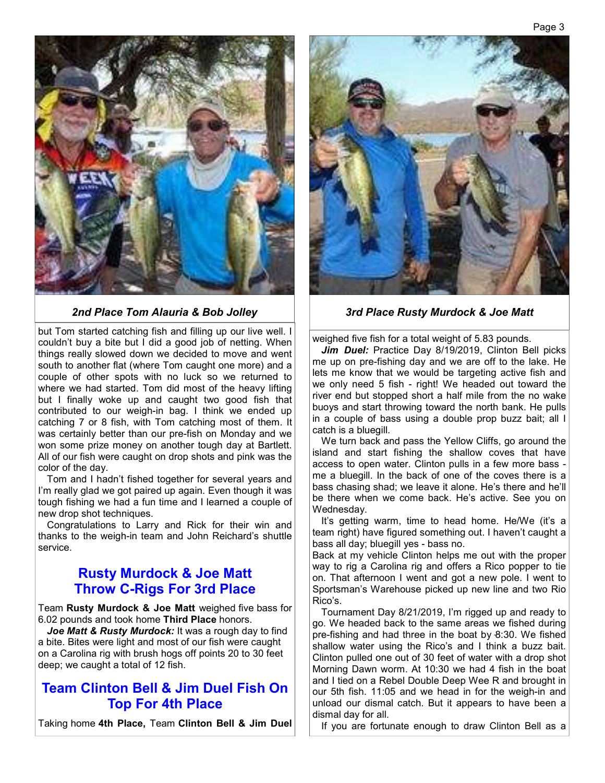

but Tom started catching fish and filling up our live well. I couldn't buy a bite but I did a good job of netting. When things really slowed down we decided to move and went south to another flat (where Tom caught one more) and a couple of other spots with no luck so we returned to where we had started. Tom did most of the heavy lifting but I finally woke up and caught two good fish that contributed to our weigh-in bag. I think we ended up catching 7 or 8 fish, with Tom catching most of them. It was certainly better than our pre-fish on Monday and we won some prize money on another tough day at Bartlett. All of our fish were caught on drop shots and pink was the color of the day.

Tom and I hadn't fished together for several years and I'm really glad we got paired up again. Even though it was tough fishing we had a fun time and I learned a couple of new drop shot techniques.

Congratulations to Larry and Rick for their win and thanks to the weigh-in team and John Reichard's shuttle service.

### **Rusty Murdock & Joe Matt Throw C-Rigs For 3rd Place**

Team **Rusty Murdock & Joe Matt** weighed five bass for 6.02 pounds and took home **Third Place** honors.

Joe Matt & Rusty Murdock: It was a rough day to find a bite. Bites were light and most of our fish were caught on a Carolina rig with brush hogs off points 20 to 30 feet deep; we caught a total of 12 fish.

### **Team Clinton Bell & Jim Duel Fish On Top For 4th Place**

Taking home **4th Place,** Team **Clinton Bell & Jim Duel** 



#### *2nd Place Tom Alauria & Bob Jolley 3rd Place Rusty Murdock & Joe Matt*

weighed five fish for a total weight of 5.83 pounds.

Jim Duel: Practice Day 8/19/2019, Clinton Bell picks me up on pre-fishing day and we are off to the lake. He lets me know that we would be targeting active fish and we only need 5 fish - right! We headed out toward the river end but stopped short a half mile from the no wake buoys and start throwing toward the north bank. He pulls in a couple of bass using a double prop buzz bait; all I catch is a bluegill.

We turn back and pass the Yellow Cliffs, go around the island and start fishing the shallow coves that have access to open water. Clinton pulls in a few more bass me a bluegill. In the back of one of the coves there is a bass chasing shad; we leave it alone. He's there and he'll be there when we come back. He's active. See you on Wednesday.

It's getting warm, time to head home. He/We (it's a team right) have figured something out. I haven't caught a bass all day; bluegill yes - bass no.

Back at my vehicle Clinton helps me out with the proper way to rig a Carolina rig and offers a Rico popper to tie on. That afternoon I went and got a new pole. I went to Sportsman's Warehouse picked up new line and two Rio Rico's.

Tournament Day 8/21/2019, I'm rigged up and ready to go. We headed back to the same areas we fished during pre-fishing and had three in the boat by 8:30. We fished shallow water using the Rico's and I think a buzz bait. Clinton pulled one out of 30 feet of water with a drop shot Morning Dawn worm. At 10:30 we had 4 fish in the boat and I tied on a Rebel Double Deep Wee R and brought in our 5th fish. 11:05 and we head in for the weigh-in and unload our dismal catch. But it appears to have been a dismal day for all.

If you are fortunate enough to draw Clinton Bell as a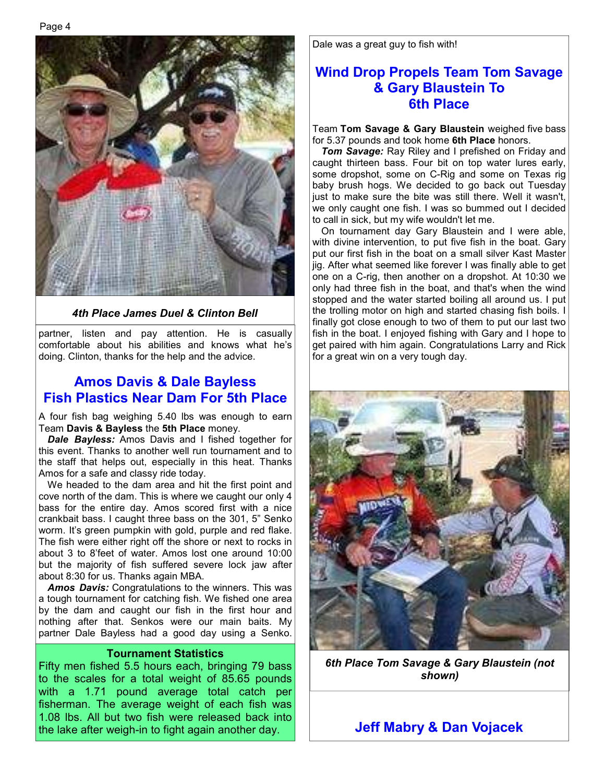

*4th Place James Duel & Clinton Bell* 

partner, listen and pay attention. He is casually comfortable about his abilities and knows what he's doing. Clinton, thanks for the help and the advice.

### **Amos Davis & Dale Bayless Fish Plastics Near Dam For 5th Place**

A four fish bag weighing 5.40 lbs was enough to earn Team **Davis & Bayless** the **5th Place** money.

*Dale Bayless:* Amos Davis and I fished together for this event. Thanks to another well run tournament and to the staff that helps out, especially in this heat. Thanks Amos for a safe and classy ride today.

We headed to the dam area and hit the first point and cove north of the dam. This is where we caught our only 4 bass for the entire day. Amos scored first with a nice crankbait bass. I caught three bass on the 301, 5" Senko worm. It's green pumpkin with gold, purple and red flake. The fish were either right off the shore or next to rocks in about 3 to 8'feet of water. Amos lost one around 10:00 but the majority of fish suffered severe lock jaw after about 8:30 for us. Thanks again MBA.

*Amos Davis:* Congratulations to the winners. This was a tough tournament for catching fish. We fished one area by the dam and caught our fish in the first hour and nothing after that. Senkos were our main baits. My partner Dale Bayless had a good day using a Senko.

#### **Tournament Statistics**

Fifty men fished 5.5 hours each, bringing 79 bass to the scales for a total weight of 85.65 pounds with a 1.71 pound average total catch per fisherman. The average weight of each fish was 1.08 lbs. All but two fish were released back into the lake after weigh-in to fight again another day.

Dale was a great guy to fish with!

### **Wind Drop Propels Team Tom Savage & Gary Blaustein To 6th Place**

Team **Tom Savage & Gary Blaustein** weighed five bass for 5.37 pounds and took home **6th Place** honors.

*Tom Savage:* Ray Riley and I prefished on Friday and caught thirteen bass. Four bit on top water lures early, some dropshot, some on C-Rig and some on Texas rig baby brush hogs. We decided to go back out Tuesday just to make sure the bite was still there. Well it wasn't, we only caught one fish. I was so bummed out I decided to call in sick, but my wife wouldn't let me.

On tournament day Gary Blaustein and I were able, with divine intervention, to put five fish in the boat. Gary put our first fish in the boat on a small silver Kast Master jig. After what seemed like forever I was finally able to get one on a C-rig, then another on a dropshot. At 10:30 we only had three fish in the boat, and that's when the wind stopped and the water started boiling all around us. I put the trolling motor on high and started chasing fish boils. I finally got close enough to two of them to put our last two fish in the boat. I enjoyed fishing with Gary and I hope to get paired with him again. Congratulations Larry and Rick for a great win on a very tough day.



*6th Place Tom Savage & Gary Blaustein (not shown)* 

**Jeff Mabry & Dan Vojacek**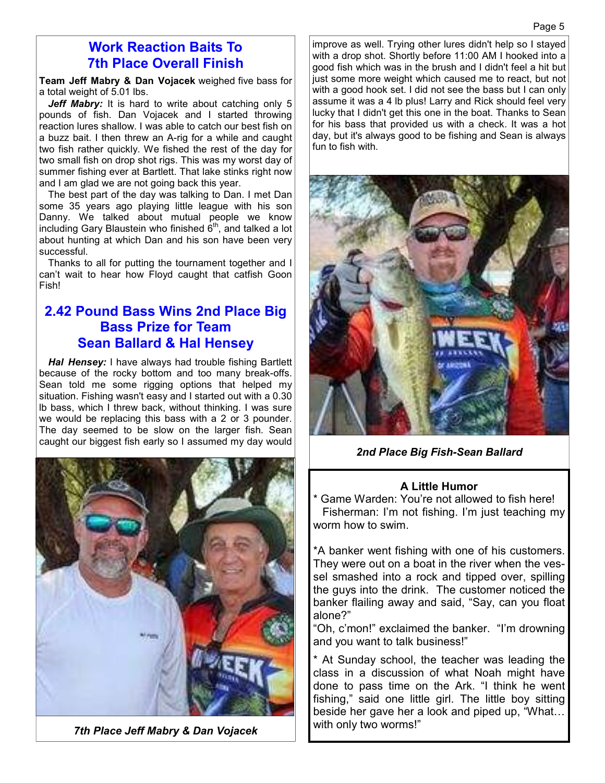### **Work Reaction Baits To 7th Place Overall Finish**

**Team Jeff Mabry & Dan Vojacek** weighed five bass for a total weight of 5.01 lbs.

Jeff Mabry: It is hard to write about catching only 5 pounds of fish. Dan Vojacek and I started throwing reaction lures shallow. I was able to catch our best fish on a buzz bait. I then threw an A-rig for a while and caught two fish rather quickly. We fished the rest of the day for two small fish on drop shot rigs. This was my worst day of summer fishing ever at Bartlett. That lake stinks right now and I am glad we are not going back this year.

The best part of the day was talking to Dan. I met Dan some 35 years ago playing little league with his son Danny. We talked about mutual people we know including Gary Blaustein who finished  $6<sup>th</sup>$ , and talked a lot about hunting at which Dan and his son have been very successful.

Thanks to all for putting the tournament together and I can't wait to hear how Floyd caught that catfish Goon Fish!

### **2.42 Pound Bass Wins 2nd Place Big Bass Prize for Team Sean Ballard & Hal Hensey**

*Hal Hensey:* I have always had trouble fishing Bartlett because of the rocky bottom and too many break-offs. Sean told me some rigging options that helped my situation. Fishing wasn't easy and I started out with a 0.30 lb bass, which I threw back, without thinking. I was sure we would be replacing this bass with a 2 or 3 pounder. The day seemed to be slow on the larger fish. Sean caught our biggest fish early so I assumed my day would



*7th Place Jeff Mabry & Dan Vojacek*

improve as well. Trying other lures didn't help so I stayed with a drop shot. Shortly before 11:00 AM I hooked into a good fish which was in the brush and I didn't feel a hit but just some more weight which caused me to react, but not with a good hook set. I did not see the bass but I can only assume it was a 4 lb plus! Larry and Rick should feel very lucky that I didn't get this one in the boat. Thanks to Sean for his bass that provided us with a check. It was a hot day, but it's always good to be fishing and Sean is always fun to fish with.



*2nd Place Big Fish-Sean Ballard* 

### **A Little Humor**

Game Warden: You're not allowed to fish here! Fisherman: I'm not fishing. I'm just teaching my worm how to swim.

\*A banker went fishing with one of his customers. They were out on a boat in the river when the vessel smashed into a rock and tipped over, spilling the guys into the drink. The customer noticed the banker flailing away and said, "Say, can you float alone?"

"Oh, c'mon!" exclaimed the banker. "I'm drowning and you want to talk business!"

\* At Sunday school, the teacher was leading the class in a discussion of what Noah might have done to pass time on the Ark. "I think he went fishing," said one little girl. The little boy sitting beside her gave her a look and piped up, "What… with only two worms!"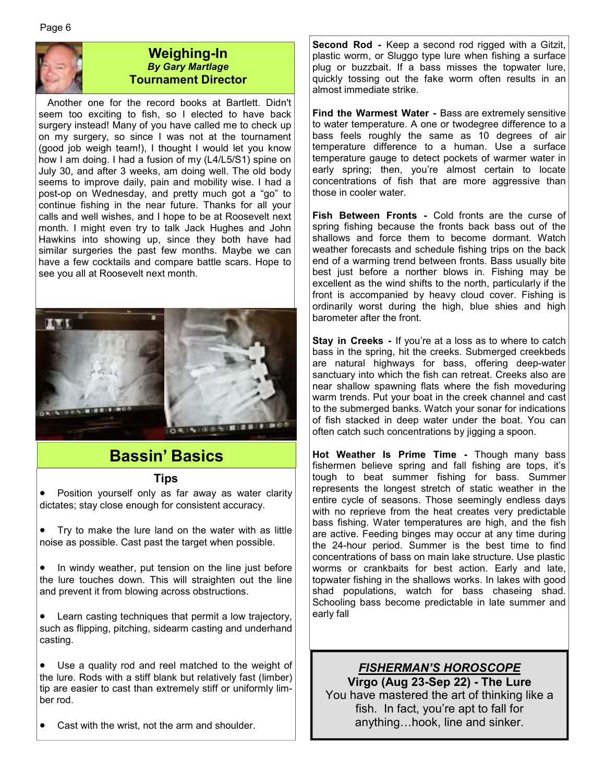

### **Weighing-In**  *By Gary Martlage*  **Tournament Director**

Another one for the record books at Bartlett. Didn't seem too exciting to fish, so I elected to have back surgery instead! Many of you have called me to check up on my surgery, so since I was not at the tournament (good job weigh team!), I thought I would let you know how I am doing. I had a fusion of my (L4/L5/S1) spine on July 30, and after 3 weeks, am doing well. The old body seems to improve daily, pain and mobility wise. I had a post-op on Wednesday, and pretty much got a "go" to continue fishing in the near future. Thanks for all your calls and well wishes, and I hope to be at Roosevelt next month. I might even try to talk Jack Hughes and John Hawkins into showing up, since they both have had similar surgeries the past few months. Maybe we can have a few cocktails and compare battle scars. Hope to see you all at Roosevelt next month.



## **Bassin' Basics**

### **Tips**

 Position yourself only as far away as water clarity dictates; stay close enough for consistent accuracy.

 Try to make the lure land on the water with as little noise as possible. Cast past the target when possible.

 In windy weather, put tension on the line just before the lure touches down. This will straighten out the line and prevent it from blowing across obstructions.

 Learn casting techniques that permit a low trajectory, such as flipping, pitching, sidearm casting and underhand casting.

 Use a quality rod and reel matched to the weight of the lure. Rods with a stiff blank but relatively fast (limber) tip are easier to cast than extremely stiff or uniformly limber rod.

Cast with the wrist, not the arm and shoulder.

**Second Rod -** Keep a second rod rigged with a Gitzit, plastic worm, or Sluggo type lure when fishing a surface plug or buzzbait. If a bass misses the topwater lure, quickly tossing out the fake worm often results in an almost immediate strike.

**Find the Warmest Water -** Bass are extremely sensitive to water temperature. A one or twodegree difference to a bass feels roughly the same as 10 degrees of air temperature difference to a human. Use a surface temperature gauge to detect pockets of warmer water in early spring; then, you're almost certain to locate concentrations of fish that are more aggressive than those in cooler water.

**Fish Between Fronts -** Cold fronts are the curse of spring fishing because the fronts back bass out of the shallows and force them to become dormant. Watch weather forecasts and schedule fishing trips on the back end of a warming trend between fronts. Bass usually bite best just before a norther blows in. Fishing may be excellent as the wind shifts to the north, particularly if the front is accompanied by heavy cloud cover. Fishing is ordinarily worst during the high, blue shies and high barometer after the front.

**Stay in Creeks - If you're at a loss as to where to catch** bass in the spring, hit the creeks. Submerged creekbeds are natural highways for bass, offering deep-water sanctuary into which the fish can retreat. Creeks also are near shallow spawning flats where the fish moveduring warm trends. Put your boat in the creek channel and cast to the submerged banks. Watch your sonar for indications of fish stacked in deep water under the boat. You can often catch such concentrations by jigging a spoon.

**Hot Weather Is Prime Time -** Though many bass fishermen believe spring and fall fishing are tops, it's tough to beat summer fishing for bass. Summer represents the longest stretch of static weather in the entire cycle of seasons. Those seemingly endless days with no reprieve from the heat creates very predictable bass fishing. Water temperatures are high, and the fish are active. Feeding binges may occur at any time during the 24-hour period. Summer is the best time to find concentrations of bass on main lake structure. Use plastic worms or crankbaits for best action. Early and late, topwater fishing in the shallows works. In lakes with good shad populations, watch for bass chaseing shad. Schooling bass become predictable in late summer and early fall

### *FISHERMAN'S HOROSCOPE* **Virgo (Aug 23-Sep 22) - The Lure**  You have mastered the art of thinking like a fish. In fact, you're apt to fall for anything…hook, line and sinker.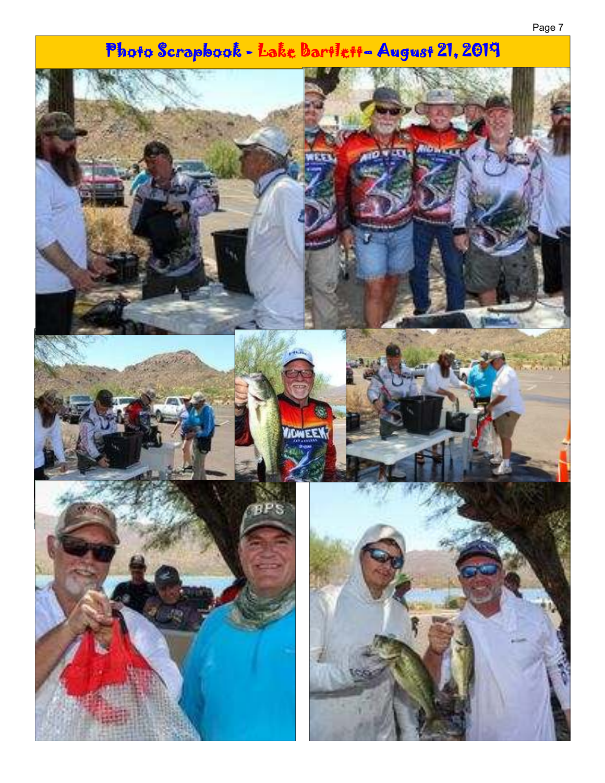# Photo Scrapbook - Lake Bartlett- August 21, 2019